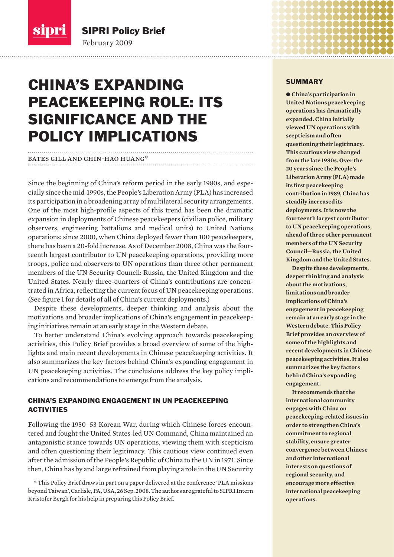

February 2009 SIPRI Policy Brief

# CHINA'S EXPANDING PEACEKEEPING ROLE: ITS SIGNIFICANCE AND THE POLICY IMPLICATIONS

# bates gill and chin-hao huang\*

Since the beginning of China's reform period in the early 1980s, and especially since the mid-1990s, the People's Liberation Army (PLA) has increased its participation in a broadening array of multilateral security arrangements. One of the most high-profile aspects of this trend has been the dramatic expansion in deployments of Chinese peacekeepers (civilian police, military observers, engineering battalions and medical units) to United Nations operations: since 2000, when China deployed fewer than 100 peacekeepers, there has been a 20-fold increase. As of December 2008, China was the fourteenth largest contributor to UN peacekeeping operations, providing more troops, police and observers to UN operations than three other permanent members of the UN Security Council: Russia, the United Kingdom and the United States. Nearly three-quarters of China's contributions are concentrated in Africa, reflecting the current focus of UN peacekeeping operations. (See figure 1 for details of all of China's current deployments.)

Despite these developments, deeper thinking and analysis about the motivations and broader implications of China's engagement in peace keeping initiatives remain at an early stage in the Western debate.

To better understand China's evolving approach towards peacekeeping activities, this Policy Brief provides a broad overview of some of the highlights and main recent developments in Chinese peacekeeping activities. It also summarizes the key factors behind China's expanding engagement in UN peacekeeping activities. The conclusions address the key policy implications and recommendations to emerge from the analysis.

# CHINA'S EXPANDING ENGAGEMENT IN UN PEACEKEEPING ACTIVITIES

Following the 1950–53 Korean War, during which Chinese forces encountered and fought the United States-led UN Command, China maintained an antagonistic stance towards UN operations, viewing them with scepticism and often questioning their legitimacy. This cautious view continued even after the admission of the People's Republic of China to the UN in 1971. Since then, China has by and large refrained from playing a role in the UN Security

\* This Policy Brief draws in part on a paper delivered at the conference 'PLA missions beyond Taiwan', Carlisle, PA, USA, 26 Sep. 2008. The authors are grateful to SIPRI Intern Kristofer Bergh for his help in preparing this Policy Brief.

#### SUMMARY

 $\bullet$  China's participation in **United Nations peacekeeping operations has dramatically expanded. China initially viewed UN operations with scepticism and often questioning their legitimacy. This cautious view changed from the late 1980s. Over the 20 years since the People's Liberation Army (PLA) made its first peacekeeping contribution in 1989, China has steadily increased its deployments. It is now the fourteenth largest contributor to UN peacekeeping operations, ahead of three other permanent members of the UN Security Council—Russia, the United Kingdom and the United States.** 

**Despite these developments, deeper thinking and analysis about the motivations, limitations and broader implications of China's engagement in peacekeeping remain at an early stage in the Western debate. This Policy Brief provides an overview of some of the highlights and recent developments in Chinese peacekeeping activities. It also summarizes the key factors behind China's expanding engagement.** 

**It recommends that the international community engages with China on peacekeeping-related issues in order to strengthen China's commitment to regional stability, ensure greater convergence between Chinese and other international interests on questions of regional security, and encourage more effective international peacekeeping operations.**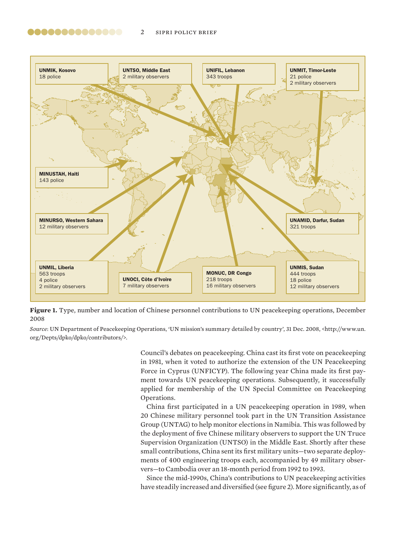

Figure 1. Type, number and location of Chinese personnel contributions to UN peacekeeping operations, December 2008

*Source*: UN Department of Peacekeeping Operations, 'UN mission's summary detailed by country', 31 Dec. 2008, <http://www.un. org/Depts/dpko/dpko/contributors/>.

> Council's debates on peacekeeping. China cast its first vote on peacekeeping in 1981, when it voted to authorize the extension of the UN Peacekeeping Force in Cyprus (UNFICYP). The following year China made its first payment towards UN peacekeeping operations. Subsequently, it successfully applied for membership of the UN Special Committee on Peacekeeping Operations.

> China first participated in a UN peacekeeping operation in 1989, when 20 Chinese military personnel took part in the UN Transition Assistance Group (UNTAG) to help monitor elections in Namibia. This was followed by the deployment of five Chinese military observers to support the UN Truce Supervision Organization (UNTSO) in the Middle East. Shortly after these small contributions, China sent its first military units—two separate deployments of 400 engineering troops each, accompanied by 49 military observers—to Cambodia over an 18-month period from 1992 to 1993.

> Since the mid-1990s, China's contributions to UN peacekeeping activities have steadily increased and diversified (see figure 2). More significantly, as of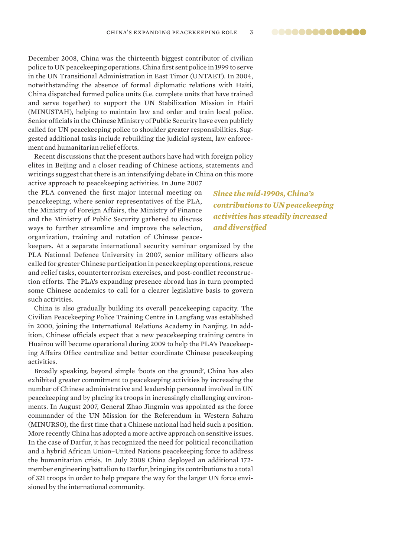..............

December 2008, China was the thirteenth biggest contributor of civilian police to UN peacekeeping operations. China first sent police in 1999 to serve in the UN Transitional Administration in East Timor (UNTAET). In 2004, notwithstanding the absence of formal diplomatic relations with Haiti, China dispatched formed police units (i.e. complete units that have trained and serve together) to support the UN Stabilization Mission in Haiti (MINUSTAH), helping to maintain law and order and train local police. Senior officials in the Chinese Ministry of Public Security have even publicly called for UN peacekeeping police to shoulder greater responsibilities. Suggested additional tasks include rebuilding the judicial system, law enforcement and humanitarian relief efforts.

Recent discussions that the present authors have had with foreign policy elites in Beijing and a closer reading of Chinese actions, statements and writings suggest that there is an intensifying debate in China on this more

active approach to peacekeeping activities. In June 2007 the PLA convened the first major internal meeting on peacekeeping, where senior representatives of the PLA, the Ministry of Foreign Affairs, the Ministry of Finance and the Ministry of Public Security gathered to discuss ways to further streamline and improve the selection, organization, training and rotation of Chinese peace-

*Since the mid-1990s, China's contributions to UN peacekeeping activities has steadily increased and diversified*

keepers. At a separate international security seminar organized by the PLA National Defence University in 2007, senior military officers also called for greater Chinese participation in peacekeeping operations, rescue and relief tasks, counterterrorism exercises, and post-conflict reconstruction efforts. The PLA's expanding presence abroad has in turn prompted some Chinese academics to call for a clearer legislative basis to govern such activities.

China is also gradually building its overall peacekeeping capacity. The Civilian Peacekeeping Police Training Centre in Langfang was established in 2000, joining the International Relations Academy in Nanjing. In addition, Chinese officials expect that a new peacekeeping training centre in Huairou will become operational during 2009 to help the PLA's Peacekeeping Affairs Office centralize and better coordinate Chinese peacekeeping activities.

Broadly speaking, beyond simple 'boots on the ground', China has also exhibited greater commitment to peacekeeping activities by increasing the number of Chinese administrative and leadership personnel involved in UN peacekeeping and by placing its troops in increasingly challenging environments. In August 2007, General Zhao Jingmin was appointed as the force commander of the UN Mission for the Referendum in Western Sahara (MINURSO), the first time that a Chinese national had held such a position. More recently China has adopted a more active approach on sensitive issues. In the case of Darfur, it has recognized the need for political reconciliation and a hybrid African Union–United Nations peacekeeping force to address the humanitarian crisis. In July 2008 China deployed an additional 172 member engineering battalion to Darfur, bringing its contributions to a total of 321 troops in order to help prepare the way for the larger UN force envisioned by the international community.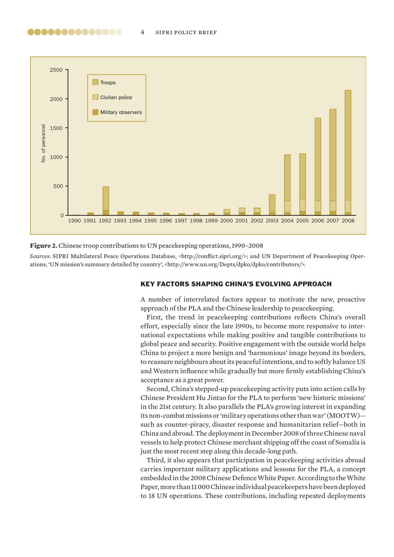

#### **Figure 2.** Chinese troop contributions to UN peacekeeping operations, 1990–2008

*Sources*: SIPRI Multilateral Peace Operations Database, <http://conflict.sipri.org/>; and UN Department of Peacekeeping Operations, 'UN mission's summary detailed by country', <http://www.un.org/Depts/dpko/dpko/contributors/>.

## KEY FACTORS SHAPING CHINA'S EVOLVING APPROACH

A number of interrelated factors appear to motivate the new, proactive approach of the PLA and the Chinese leadership to peacekeeping.

First, the trend in peacekeeping contributions reflects China's overall effort, especially since the late 1990s, to become more responsive to international expectations while making positive and tangible contributions to global peace and security. Positive engagement with the outside world helps China to project a more benign and 'harmonious' image beyond its borders, to reassure neighbours about its peaceful intentions, and to softly balance US and Western influence while gradually but more firmly establishing China's acceptance as a great power.

Second, China's stepped-up peacekeeping activity puts into action calls by Chinese President Hu Jintao for the PLA to perform 'new historic missions' in the 21st century. It also parallels the PLA's growing interest in expanding its non-combat missions or 'military operations other than war' (MOOTW) such as counter-piracy, disaster response and humanitarian relief—both in China and abroad. The deployment in December 2008 of three Chinese naval vessels to help protect Chinese merchant shipping off the coast of Somalia is just the most recent step along this decade-long path.

Third, it also appears that participation in peacekeeping activities abroad carries important military applications and lessons for the PLA, a concept embedded in the 2008 Chinese Defence White Paper. According to the White Paper, more than 11 000 Chinese individual peacekeepers have been deployed to 18 UN operations. These contributions, including repeated deployments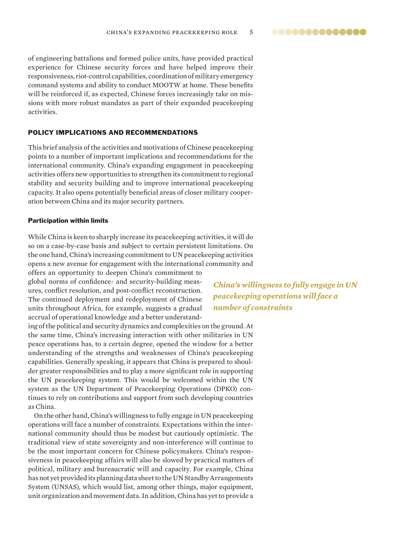..............

of engineering battalions and formed police units, have provided practical experience for Chinese security forces and have helped improve their responsiveness, riot-control capabilities, coordination of military emergency command systems and ability to conduct MOOTW at home. These benefits will be reinforced if, as expected, Chinese forces increasingly take on missions with more robust mandates as part of their expanded peacekeeping activities.

# POLICY IMPLICATIONS AND RECOMMENDATIONS

This brief analysis of the activities and motivations of Chinese peacekeeping points to a number of important implications and recommendations for the international community. China's expanding engagement in peacekeeping activities offers new opportunities to strengthen its commitment to regional stability and security building and to improve international peacekeeping capacity. It also opens potentially beneficial areas of closer military cooperation between China and its major security partners.

# Participation within limits

While China is keen to sharply increase its peacekeeping activities, it will do so on a case-by-case basis and subject to certain persistent limitations. On the one hand, China's increasing commitment to UN peacekeeping activities opens a new avenue for engagement with the international community and

offers an opportunity to deepen China's commitment to global norms of confidence- and security-building measures, conflict resolution, and post-conflict reconstruction. The continued deployment and redeployment of Chinese units throughout Africa, for example, suggests a gradual accrual of operational knowledge and a better understand-

ing of the political and secur ity dynamics and complexities on the ground. At the same time, China's increasing interaction with other militaries in UN peace operations has, to a certain degree, opened the window for a better understanding of the strengths and weaknesses of China's peacekeeping capabilities. Generally speaking, it appears that China is prepared to shoulder greater responsibilities and to play a more significant role in supporting the UN peacekeeping system. This would be welcomed within the UN system as the UN Department of Peacekeeping Operations (DPKO) continues to rely on contributions and support from such developing countries as China.

On the other hand, China's willingness to fully engage in UN peacekeeping operations will face a number of constraints. Expectations within the international community should thus be modest but cautiously optimistic. The traditional view of state sovereignty and non-interference will continue to be the most important concern for Chinese policymakers. China's responsiveness in peacekeeping affairs will also be slowed by practical matters of political, military and bureaucratic will and capacity. For example, China has not yet provided its planning data sheet to the UN Standby Arrangements System (UNSAS), which would list, among other things, major equipment, unit organization and movement data. In addition, China has yet to provide a

*China's willingness to fully engage in UN peacekeeping operations will face a number of constraints*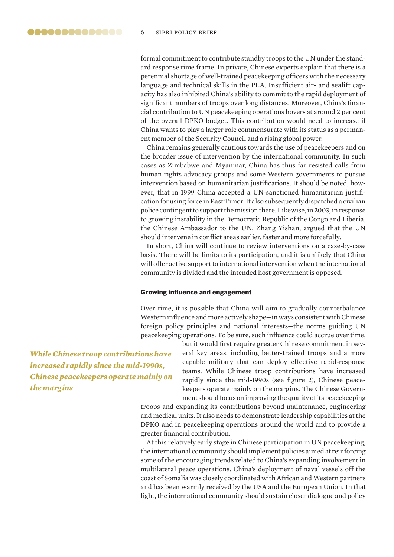formal commitment to contribute standby troops to the UN under the standard response time frame. In private, Chinese experts explain that there is a perennial shortage of well-trained peacekeeping officers with the necessary language and technical skills in the PLA. Insufficient air- and sealift capacity has also inhibited China's ability to commit to the rapid deployment of significant numbers of troops over long distances. Moreover, China's financial contribution to UN peacekeeping operations hovers at around 2 per cent of the overall DPKO budget. This contribution would need to increase if China wants to play a larger role commensurate with its status as a permanent member of the Security Council and a rising global power.

China remains generally cautious towards the use of peacekeepers and on the broader issue of intervention by the international community. In such cases as Zimbabwe and Myanmar, China has thus far resisted calls from human rights advocacy groups and some Western governments to pursue intervention based on humanitarian justifications. It should be noted, however, that in 1999 China accepted a UN-sanctioned humanitarian justification for using force in East Timor. It also subsequently dispatched a civilian police contingent to support the mission there. Likewise, in 2003, in response to growing instability in the Democratic Republic of the Congo and Liberia, the Chinese Ambassador to the UN, Zhang Yishan, argued that the UN should intervene in conflict areas earlier, faster and more forcefully.

In short, China will continue to review interventions on a case-by-case basis. There will be limits to its participation, and it is unlikely that China will offer active support to international intervention when the international community is divided and the intended host government is opposed.

## Growing influence and engagement

Over time, it is possible that China will aim to gradually counterbalance Western influence and more actively shape—in ways consistent with Chinese foreign policy principles and national interests—the norms guiding UN peacekeeping operations. To be sure, such influence could accrue over time,

*While Chinese troop contributions have increased rapidly since the mid-1990s, Chinese peacekeepers operate mainly on the margins*

but it would first require greater Chinese commitment in several key areas, including better-trained troops and a more capable military that can deploy effective rapid-response teams. While Chinese troop contributions have increased rapidly since the mid-1990s (see figure 2), Chinese peacekeepers operate mainly on the margins. The Chinese Government should focus on improving the quality of its peacekeeping

troops and expanding its contributions beyond maintenance, engineering and medical units. It also needs to demonstrate leadership capabilities at the DPKO and in peacekeeping operations around the world and to provide a greater financial contribution.

At this relatively early stage in Chinese participation in UN peacekeeping, the international community should implement policies aimed at reinforcing some of the encouraging trends related to China's expanding involvement in multilateral peace operations. China's deployment of naval vessels off the coast of Somalia was closely coordinated with African and Western partners and has been warmly received by the USA and the European Union. In that light, the international community should sustain closer dialogue and policy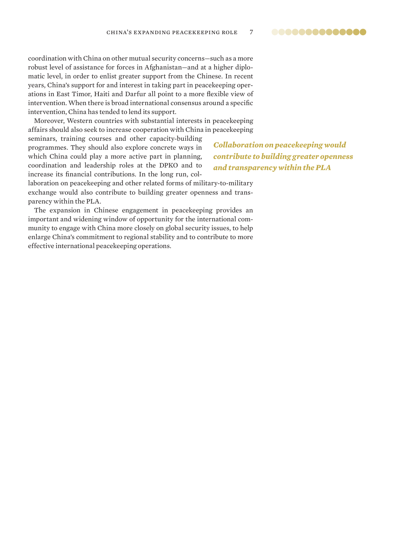..............

coordination with China on other mutual security concerns—such as a more robust level of assistance for forces in Afghanistan—and at a higher diplomatic level, in order to enlist greater support from the Chinese. In recent years, China's support for and interest in taking part in peacekeeping operations in East Timor, Haiti and Darfur all point to a more flexible view of intervention. When there is broad international consensus around a specific intervention, China has tended to lend its support.

Moreover, Western countries with substantial interests in peacekeeping affairs should also seek to increase cooperation with China in peacekeeping

seminars, training courses and other capacity-building programmes. They should also explore concrete ways in which China could play a more active part in planning, coordination and leadership roles at the DPKO and to increase its financial contributions. In the long run, col-

*Collaboration on peacekeeping would contribute to building greater openness and transparency within the PLA*

laboration on peacekeeping and other related forms of military-to-military exchange would also contribute to building greater openness and transparency within the PLA.

The expansion in Chinese engagement in peacekeeping provides an important and widening window of opportunity for the international community to engage with China more closely on global security issues, to help enlarge China's commitment to regional stability and to contribute to more effective international peacekeeping operations.